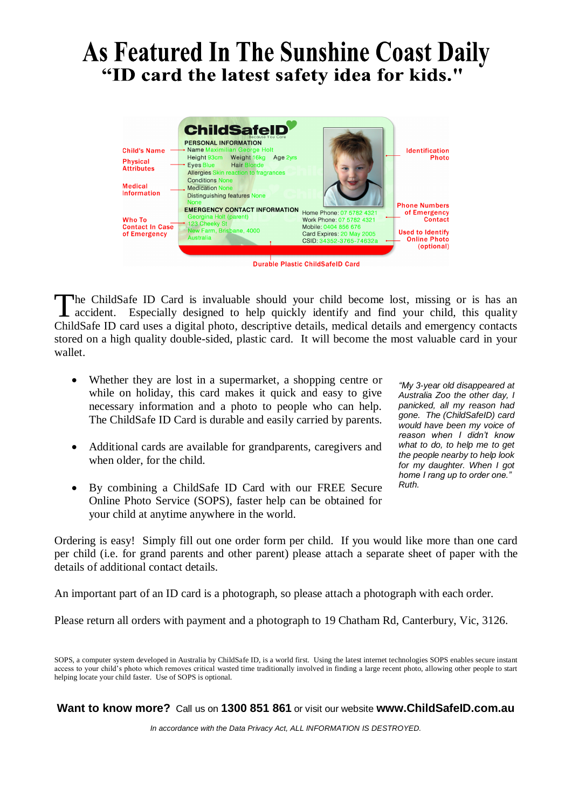#### As Featured In The Sunshine Coast Daily "ID card the latest safety idea for kids."



he ChildSafe ID Card is invaluable should your child become lost, missing or is has an accident. Especially designed to help quickly identify and find your child, this quality ChildSafe ID card uses a digital photo, descriptive details, medical details and emergency contacts stored on a high quality double-sided, plastic card. It will become the most valuable card in your wallet. T

- Whether they are lost in a supermarket, a shopping centre or while on holiday, this card makes it quick and easy to give necessary information and a photo to people who can help. The ChildSafe ID Card is durable and easily carried by parents.
- Additional cards are available for grandparents, caregivers and when older, for the child.
- By combining a ChildSafe ID Card with our FREE Secure Online Photo Service (SOPS), faster help can be obtained for your child at anytime anywhere in the world.

*"My 3-year old disappeared at Australia Zoo the other day, I panicked, all my reason had gone. The (ChildSafeID) card would have been my voice of reason when I didn't know what to do, to help me to get the people nearby to help look for my daughter. When I got home I rang up to order one." Ruth.*

Ordering is easy! Simply fill out one order form per child. If you would like more than one card per child (i.e. for grand parents and other parent) please attach a separate sheet of paper with the details of additional contact details.

An important part of an ID card is a photograph, so please attach a photograph with each order.

Please return all orders with payment and a photograph to 19 Chatham Rd, Canterbury, Vic, 3126.

SOPS, a computer system developed in Australia by ChildSafe ID, is a world first. Using the latest internet technologies SOPS enables secure instant access to your child's photo which removes critical wasted time traditionally involved in finding a large recent photo, allowing other people to start helping locate your child faster. Use of SOPS is optional.

**Want to know more?** Call us on **1300 851 861** or visit our website **www.ChildSafeID.com.au** 

*In accordance with the Data Privacy Act, ALL INFORMATION IS DESTROYED.*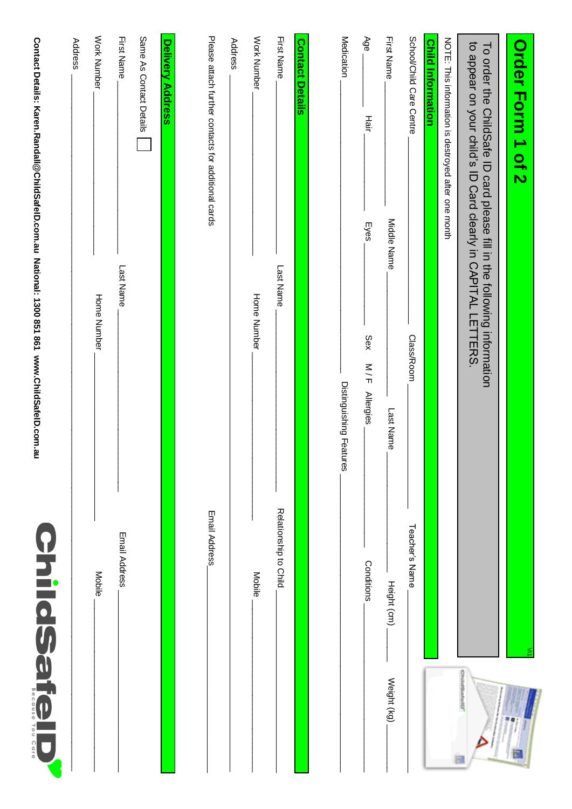| Contact Details: Karen.Randall@ChildSafelD.com.au National: 1300 851 861 www.ChildSafelD.com.au | Address |
|-------------------------------------------------------------------------------------------------|---------|
|                                                                                                 |         |
|                                                                                                 |         |
|                                                                                                 |         |
|                                                                                                 |         |
|                                                                                                 |         |
|                                                                                                 |         |
|                                                                                                 |         |
|                                                                                                 |         |
|                                                                                                 |         |
|                                                                                                 |         |
|                                                                                                 |         |
|                                                                                                 |         |
|                                                                                                 |         |
|                                                                                                 |         |
|                                                                                                 |         |
|                                                                                                 |         |
| ω<br>Φ<br>O<br>$\frac{1}{2}$<br>s<br>O                                                          |         |
| $\frac{0}{1}$<br>Ç<br>1<br>u r<br>Φ                                                             |         |
|                                                                                                 |         |

| Order Form 1 of 2                                                                                                                        |                            |
|------------------------------------------------------------------------------------------------------------------------------------------|----------------------------|
| to appear on your child's ID Card clearly in CAPITAL LETTERS.<br>To order the ChildSafe ID card please fill in the following information | $\frac{0}{2}$              |
| NOTE: This information is destroyed after one month                                                                                      |                            |
| <b>Child Information</b>                                                                                                                 |                            |
| School/Child Care Centre<br>Class/Room                                                                                                   | Teacher's Name             |
| First Name<br>Middle Name<br>Last Name                                                                                                   | Height (cm)<br>Weight (kg) |
| Age<br>Hair<br>Eyes<br>Sex<br>$\frac{1}{5}$<br><b>Allergies</b>                                                                          | Conditions                 |
| Medication<br>Distinguishing Features                                                                                                    |                            |
|                                                                                                                                          |                            |
| First Name<br><b>Contact Details</b><br>Last Name                                                                                        | Relationship to Child      |
| Work Number<br>Home Number                                                                                                               | Mobile                     |
| Address                                                                                                                                  |                            |
| Please attach further contacts for additional cards                                                                                      | Email Address              |
| <b>Delivery Address</b>                                                                                                                  |                            |
| Same As Contact Details                                                                                                                  |                            |
| <b>First Name</b><br>Last Name                                                                                                           | Email Address              |
| Work Number<br>Home Number                                                                                                               | Mobile                     |
| Address                                                                                                                                  |                            |
| Contact Details: Karen.Randall@ChildSafelD.com.au National: 1300 851 861 WWW.ChildSafelD.com.au                                          | <b>ChildSafel</b>          |